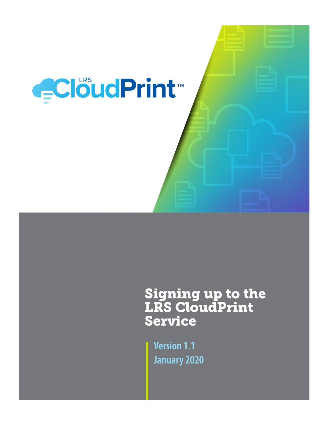

# **Signing up to the<br>LRS CloudPrint Service**

**Version 1.1 January 2020**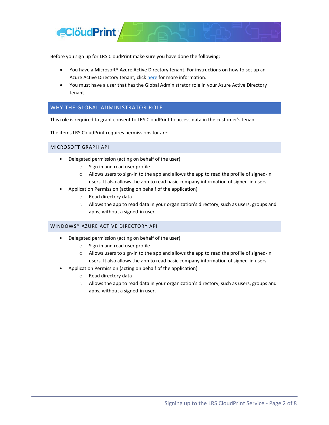

Before you sign up for LRS CloudPrint make sure you have done the following:

- You have a Microsoft® Azure Active Directory tenant. For instructions on how to set up an Azure Active Directory tenant, clic[k here](https://azure.microsoft.com/en-us/trial/get-started-active-directory/) for more information.
- You must have a user that has the Global Administrator role in your Azure Active Directory tenant.

## <span id="page-1-0"></span>WHY THE GLOBAL ADMINISTRATOR ROLE

This role is required to grant consent to LRS CloudPrint to access data in the customer's tenant.

The items LRS CloudPrint requires permissions for are:

MICROSOFT GRAPH API

- Delegated permission (acting on behalf of the user)
	- o Sign in and read user profile
	- o Allows users to sign-in to the app and allows the app to read the profile of signed-in users. It also allows the app to read basic company information of signed-in users
- Application Permission (acting on behalf of the application)
	- o Read directory data
	- o Allows the app to read data in your organization's directory, such as users, groups and apps, without a signed-in user.

#### WINDOWS® AZURE ACTIVE DIRECTORY API

- Delegated permission (acting on behalf of the user)
	- o Sign in and read user profile
	- o Allows users to sign-in to the app and allows the app to read the profile of signed-in users. It also allows the app to read basic company information of signed-in users
- Application Permission (acting on behalf of the application)
	- o Read directory data
	- $\circ$  Allows the app to read data in your organization's directory, such as users, groups and apps, without a signed-in user.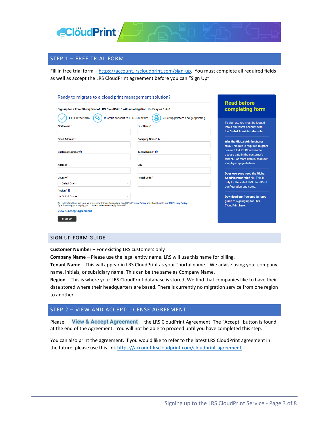

## STEP 1 – FREE TRIAL FORM

Fill in free trial form - [https://account.lrscloudprint.com/sign-up.](https://account.lrscloudprint.com/sign-up) You must complete all required fields as well as accept the LRS CloudPrint agreement before you can "Sign Up"

#### Ready to migrate to a cloud print management solution?

| Sign up for a Free 30-day trial of LRS CloudPrint™ with no obligation. It's Easy as 1-2-3                                                                                                                                                     |                                                              | completing form                                                                                                                             |
|-----------------------------------------------------------------------------------------------------------------------------------------------------------------------------------------------------------------------------------------------|--------------------------------------------------------------|---------------------------------------------------------------------------------------------------------------------------------------------|
| 2 Grant consent to LRS CloudPrint<br>1 Fill in the form<br><b>First Name</b>                                                                                                                                                                  | 3 Set up printers and get printing<br>Last Name <sup>*</sup> | To sign up, you must be logged<br>into a Microsoft account with<br>the Global Administrator role                                            |
| <b>Email Address*</b>                                                                                                                                                                                                                         | Company Name* <sup>O</sup>                                   | <b>Why the Global Administrator</b>                                                                                                         |
| <b>Customer Number @</b>                                                                                                                                                                                                                      | Tenant Name <sup>*</sup> ©                                   | role? This role is required to grant<br>consent to LRS CloudPrint to<br>access data in the customer's<br>tenant. For more details, read our |
| Address <sup>*</sup>                                                                                                                                                                                                                          | City <sup>*</sup>                                            | step-by-step quide here.                                                                                                                    |
| Country <sup>*</sup>                                                                                                                                                                                                                          | <b>Postal Code</b>                                           | Does everyone need the Global<br><b>Administrator role?</b> No. This is<br>only for the initial LRS CloudPrint                              |
| -- Select One --<br>$\checkmark$<br>Region * <sup>©</sup>                                                                                                                                                                                     |                                                              | configuration and setup.                                                                                                                    |
| -- Select One --<br>$\checkmark$<br>To understand how we treat your personally identifiable data, see LRS's Privacy Policy and, if applicable, our EU Privacy Policy.<br>By submitting your inquiry, you consent to receive a reply from LRS. |                                                              | Download our free step-by-step<br>guide to signing up for LRS<br><b>CloudPrint here.</b>                                                    |
| <b>View &amp; Accept Agreement</b><br><b>SIGN UP</b>                                                                                                                                                                                          |                                                              |                                                                                                                                             |

#### SIGN UP FORM GUIDE

**Customer Number** – For existing LRS customers only

**Company Name** – Please use the legal entity name. LRS will use this name for billing.

**Tenant Name** – This will appear in LRS CloudPrint as your "portal name." We advise using your company name, initials, or subsidiary name. This can be the same as Company Name.

**Region** – This is where your LRS CloudPrint database is stored. We find that companies like to have their data stored where their headquarters are based. There is currently no migration service from one region to another.

## STEP 2 – VIEW AND ACCEPT LICENSE AGREEMENT

Please View & Accept Agreement the LRS CloudPrint Agreement. The "Accept" button is found at the end of the Agreement. You will not be able to proceed until you have completed this step.

You can also print the agreement. If you would like to refer to the latest LRS CloudPrint agreement in the future, please use this link<https://account.lrscloudprint.com/cloudprint-agreement>

**Read before**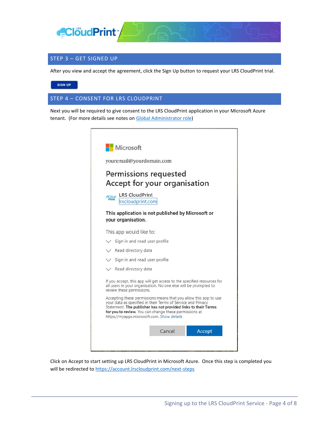

## STEP 3 – GET SIGNED UP

After you view and accept the agreement, click the Sign Up button to request your LRS CloudPrint trial.

SIGN UP

STEP 4 – CONSENT FOR LRS CLOUDPRINT

Next you will be required to give consent to the LRS CloudPrint application in your Microsoft Azure tenant. (For more details see notes on [Global Administrator role\)](#page-1-0)

|                       | youremail@yourdomain.com                                                                                                                                                                                                                                                                                                                                                             |  |
|-----------------------|--------------------------------------------------------------------------------------------------------------------------------------------------------------------------------------------------------------------------------------------------------------------------------------------------------------------------------------------------------------------------------------|--|
|                       |                                                                                                                                                                                                                                                                                                                                                                                      |  |
|                       | Permissions requested<br>Accept for your organisation                                                                                                                                                                                                                                                                                                                                |  |
| <b>Cloud</b><br>Print | <b>LRS CloudPrint</b><br>Irscloudprint.com                                                                                                                                                                                                                                                                                                                                           |  |
|                       | This application is not published by Microsoft or<br>your organisation.                                                                                                                                                                                                                                                                                                              |  |
|                       | This app would like to:                                                                                                                                                                                                                                                                                                                                                              |  |
|                       | $\angle$ Sign in and read user profile                                                                                                                                                                                                                                                                                                                                               |  |
|                       |                                                                                                                                                                                                                                                                                                                                                                                      |  |
|                       | V Read directory data                                                                                                                                                                                                                                                                                                                                                                |  |
|                       | $\vee$ Sign in and read user profile                                                                                                                                                                                                                                                                                                                                                 |  |
|                       | $\vee$ Read directory data                                                                                                                                                                                                                                                                                                                                                           |  |
|                       | all users in your organisation. No one else will be prompted to<br>review these permissions.                                                                                                                                                                                                                                                                                         |  |
|                       | If you accept, this app will get access to the specified resources for<br>Accepting these permissions means that you allow this app to use<br>your data as specified in their Terms of Service and Privacy<br>Statement. The publisher has not provided links to their Terms<br>for you to review. You can change these permissions at<br>https://myapps.microsoft.com. Show details |  |

Click on Accept to start setting up LRS CloudPrint in Microsoft Azure. Once this step is completed you will be redirected to<https://account.lrscloudprint.com/next-steps>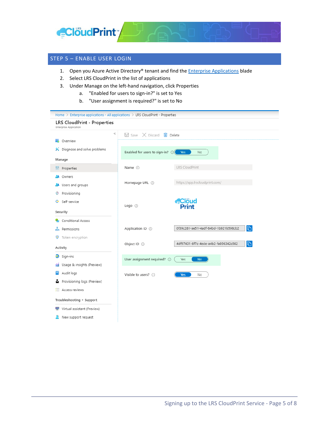

## STEP 5 – ENABLE USER LOGIN

- 1. Open you Azure Active Directory® tenant and find the **Enterprise Applications** blade
- 2. Select LRS CloudPrint in the list of applications
- 3. Under Manage on the left-hand navigation, click Properties
	- a. "Enabled for users to sign-in?" is set to Yes
	- b. "User assignment is required?" is set to No

| Home > Enterprise applications - All applications > LRS CloudPrint - Properties |                                            |                                                      |  |  |
|---------------------------------------------------------------------------------|--------------------------------------------|------------------------------------------------------|--|--|
| LRS CloudPrint - Properties<br>Enterprise Application                           |                                            |                                                      |  |  |
| $\ll$                                                                           | $\Box$ Save $\times$ Discard $\Box$ Delete |                                                      |  |  |
| 眠<br>Overview                                                                   |                                            |                                                      |  |  |
| X Diagnose and solve problems                                                   | Enabled for users to sign-in? $\odot$      | Yes<br>No                                            |  |  |
| Manage                                                                          |                                            |                                                      |  |  |
| H <sup>1</sup> Properties                                                       | Name (i)                                   | LRS CloudPrint                                       |  |  |
| Owners<br>58.                                                                   |                                            |                                                      |  |  |
| Users and groups<br>23.                                                         | Homepage URL (i)                           | https://app.lrscloudprint.com/                       |  |  |
| Provisioning<br>٧                                                               |                                            |                                                      |  |  |
| Self-service<br>ၜႜ                                                              |                                            | <b>ECloud</b><br>Print                               |  |  |
| Security                                                                        | Logo $\odot$                               |                                                      |  |  |
| Conditional Access                                                              |                                            |                                                      |  |  |
| A Permissions                                                                   | Application ID (i)                         | $\mathbb{D}$<br>0f39c281-ae51-4adf-84bd-1b921b598cb2 |  |  |
| Token encryption<br>۰                                                           |                                            |                                                      |  |  |
| Activity                                                                        | Object ID (i)                              | $\Box$<br>4df97431-6f7c-4ede-a4b2-fa896342c562       |  |  |
| $\mathfrak{D}$ Sign-ins                                                         | User assignment required? 1                | Yes<br><b>No</b>                                     |  |  |
| Usage & insights (Preview)<br>û0.                                               |                                            |                                                      |  |  |
| Audit logs                                                                      | Visible to users? (i)                      | <b>Yes</b><br>No                                     |  |  |
| Provisioning logs (Preview)<br>й                                                |                                            |                                                      |  |  |
| E Access reviews                                                                |                                            |                                                      |  |  |
| Troubleshooting + Support                                                       |                                            |                                                      |  |  |
| Virtual assistant (Preview)<br>≌                                                |                                            |                                                      |  |  |
| New support request                                                             |                                            |                                                      |  |  |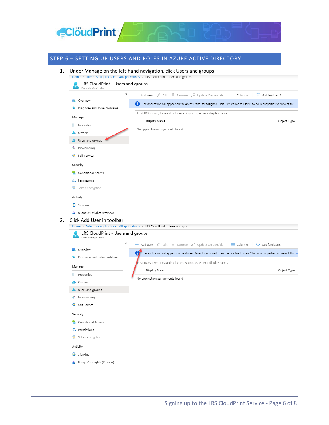

# STEP 6 – SETTING UP USERS AND ROLES IN AZURE ACTIVE DIRECTORY

1. Under Manage on the left-hand navigation, click Users and groups

Activity  $\supseteq$  Sign-ins

fal Usage & insights (Preview)

|                                                                                                                                                                                               | ≪<br>+ Add user ∠ Edit   Remove 2 Update Credentials   EE Columns  <br>C Got feedback?                                             |
|-----------------------------------------------------------------------------------------------------------------------------------------------------------------------------------------------|------------------------------------------------------------------------------------------------------------------------------------|
| 瓶<br>Overview                                                                                                                                                                                 |                                                                                                                                    |
| X Diagnose and solve problems                                                                                                                                                                 | The application will appear on the Access Panel for assigned users. Set 'visible to users?' to no in properties to prevent this. - |
| Manage                                                                                                                                                                                        | First 100 shown, to search all users & groups, enter a display name.                                                               |
| <b>II</b> Properties                                                                                                                                                                          | Display Name<br>Object Type                                                                                                        |
| <b>A</b> Owners                                                                                                                                                                               | No application assignments found                                                                                                   |
| <b>3</b> Users and groups                                                                                                                                                                     |                                                                                                                                    |
| Provisioning                                                                                                                                                                                  |                                                                                                                                    |
| <b>G</b> Self-service                                                                                                                                                                         |                                                                                                                                    |
|                                                                                                                                                                                               |                                                                                                                                    |
| Security                                                                                                                                                                                      |                                                                                                                                    |
| Conditional Access                                                                                                                                                                            |                                                                                                                                    |
| Permissions                                                                                                                                                                                   |                                                                                                                                    |
| Token encryption<br>σ                                                                                                                                                                         |                                                                                                                                    |
| Activity                                                                                                                                                                                      |                                                                                                                                    |
| $\mathfrak{D}$ Sign-ins                                                                                                                                                                       |                                                                                                                                    |
| fil Usage & insights (Preview)                                                                                                                                                                |                                                                                                                                    |
| Click Add User in toolbar                                                                                                                                                                     |                                                                                                                                    |
|                                                                                                                                                                                               | Home > Enterprise applications - All applications > LRS CloudPrint - Users and groups                                              |
|                                                                                                                                                                                               |                                                                                                                                    |
| LRS CloudPrint - Users and groups                                                                                                                                                             |                                                                                                                                    |
| Enterprise Application                                                                                                                                                                        | $\ll$                                                                                                                              |
|                                                                                                                                                                                               | + Add user ∠ Edit ill Remove 2 Update Credentials   EE Columns  <br>$\heartsuit$ Got feedback?                                     |
|                                                                                                                                                                                               | The application will appear on the Access Panel for assigned users. Set 'visible to users?' to no in properties to prevent this. - |
|                                                                                                                                                                                               | First 100 shown, to search all users & groups, enter a display name.                                                               |
|                                                                                                                                                                                               | Display Name<br>Object Type                                                                                                        |
|                                                                                                                                                                                               | No application assignments found                                                                                                   |
|                                                                                                                                                                                               |                                                                                                                                    |
|                                                                                                                                                                                               |                                                                                                                                    |
| Provisioning                                                                                                                                                                                  |                                                                                                                                    |
|                                                                                                                                                                                               |                                                                                                                                    |
|                                                                                                                                                                                               |                                                                                                                                    |
| Conditional Access                                                                                                                                                                            |                                                                                                                                    |
| <b>ii</b> Overview<br>X Diagnose and solve problems<br>Manage<br>H <sup>1</sup> Properties<br><b>A</b> Owners<br><b>3</b> Users and groups<br>©<br>Self-service<br>Security<br>on Permissions |                                                                                                                                    |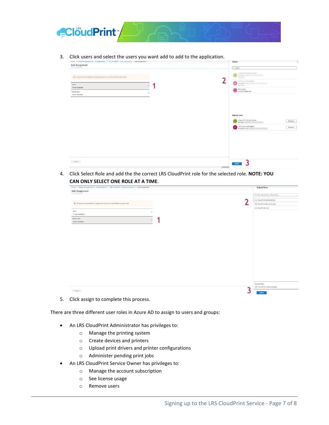

3. Click users and select the users you want add to add to the application.

| Home > Enterprise applications - All applications > LRS CloudPrint - Users and groups > Add Assignment |               | Users                                                                                                                  |
|--------------------------------------------------------------------------------------------------------|---------------|------------------------------------------------------------------------------------------------------------------------|
| Add Assignment                                                                                         |               | $\rho$ search                                                                                                          |
|                                                                                                        |               | Cloud Print Service Owner<br>CP<br>Irscp(ii)<br>Selected<br>ำ<br>LRS Cloud Print Admin<br>Irscpadmin<br>n <sup>2</sup> |
| Users<br>None Selected                                                                                 |               | Selected<br>Russ Farris                                                                                                |
| *Select Role<br>None Selected                                                                          | $\rightarrow$ | <b>RF</b><br>russ.farris@Irs.com                                                                                       |
|                                                                                                        |               |                                                                                                                        |
|                                                                                                        |               |                                                                                                                        |
|                                                                                                        |               |                                                                                                                        |
|                                                                                                        |               | Selected items                                                                                                         |
|                                                                                                        |               | Cloud Print Service Owner<br>Remove<br>Irscp@c                                                                         |
|                                                                                                        |               | LRS Cloud Print Admin<br>Remove                                                                                        |
|                                                                                                        |               |                                                                                                                        |
|                                                                                                        |               |                                                                                                                        |
|                                                                                                        |               |                                                                                                                        |
|                                                                                                        |               |                                                                                                                        |
|                                                                                                        |               |                                                                                                                        |
| Assign                                                                                                 |               |                                                                                                                        |
|                                                                                                        |               | Select                                                                                                                 |

4. Click Select Role and add the the correct LRS CloudPrint role for the selected role. **NOTE: YOU CAN ONLY SELECT ONE ROLE AT A TIME**.

| Home > Enterprise applications - All applications > LRS CloudPrint - Users and groups > Add Assignment | Select Role                                   |
|--------------------------------------------------------------------------------------------------------|-----------------------------------------------|
| Add Assignment                                                                                         | $\mathcal{P}$ Enter role name to filter items |
|                                                                                                        | LRS CloudPrint Administrator                  |
| A Groups are not available for assignment due to your Active Directory plan level.                     | LRS CloudPrint Service Owner                  |
| Users                                                                                                  | LRS CloudPrint User                           |
| $\lambda$<br>1 user selected.                                                                          |                                               |
| *Select Role<br>None Selected                                                                          |                                               |
|                                                                                                        |                                               |
|                                                                                                        |                                               |
|                                                                                                        |                                               |
|                                                                                                        |                                               |
|                                                                                                        |                                               |
|                                                                                                        |                                               |
|                                                                                                        |                                               |
|                                                                                                        |                                               |
|                                                                                                        |                                               |
|                                                                                                        |                                               |
|                                                                                                        |                                               |
|                                                                                                        |                                               |
|                                                                                                        |                                               |
|                                                                                                        |                                               |
|                                                                                                        | Selected Role                                 |
| Assign                                                                                                 | LRS CloudPrint Administrator                  |

5. Click assign to complete this process.

There are three different user roles in Azure AD to assign to users and groups:

- An LRS CloudPrint Administrator has privileges to:
	- o Manage the printing system
	- o Create devices and printers
	- o Upload print drivers and printer configurations
	- o Administer pending print jobs
- An LRS CloudPrint Service Owner has privileges to:
	- o Manage the account subscription
	- o See license usage
	- o Remove users